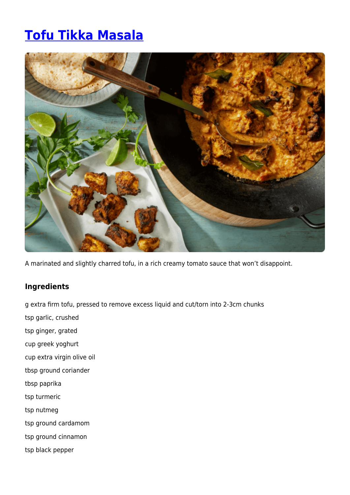## **[Tofu Tikka Masala](https://www.iga.com.au/recipes/healthy-living/tofu-tikka-masala/)**



A marinated and slightly charred tofu, in a rich creamy tomato sauce that won't disappoint.

## **Ingredients**

g extra firm tofu, pressed to remove excess liquid and cut/torn into 2-3cm chunks

- tsp garlic, crushed
- tsp ginger, grated
- cup greek yoghurt
- cup extra virgin olive oil
- tbsp ground coriander
- tbsp paprika
- tsp turmeric
- tsp nutmeg
- tsp ground cardamom
- tsp ground cinnamon
- tsp black pepper